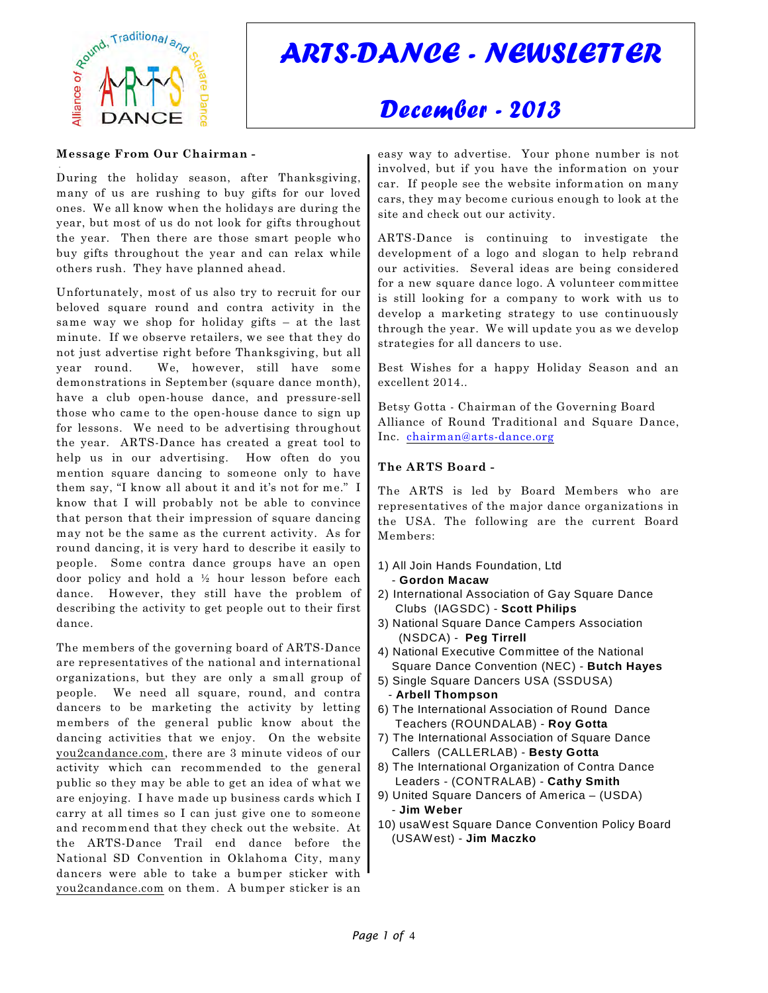

# *ARTS-DANCE - NEWSLETTER*

## *December - 2013*

#### **Message From Our Chairman -**

 . During the holiday season, after Thanksgiving, many of us are rushing to buy gifts for our loved ones. We all know when the holidays are during the year, but most of us do not look for gifts throughout the year. Then there are those smart people who buy gifts throughout the year and can relax while others rush. They have planned ahead.

Unfortunately, most of us also try to recruit for our beloved square round and contra activity in the same way we shop for holiday gifts – at the last minute. If we observe retailers, we see that they do not just advertise right before Thanksgiving, but all year round. We, however, still have some demonstrations in September (square dance month), have a club open-house dance, and pressure-sell those who came to the open-house dance to sign up for lessons. We need to be advertising throughout the year. ARTS-Dance has created a great tool to help us in our advertising. How often do you mention square dancing to someone only to have them say, "I know all about it and it's not for me." I know that I will probably not be able to convince that person that their impression of square dancing may not be the same as the current activity. As for round dancing, it is very hard to describe it easily to people. Some contra dance groups have an open door policy and hold a ½ hour lesson before each dance. However, they still have the problem of describing the activity to get people out to their first dance.

The members of the governing board of ARTS-Dance are representatives of the national and international organizations, but they are only a small group of people. We need all square, round, and contra dancers to be marketing the activity by letting members of the general public know about the dancing activities that we enjoy. On the website you2candance.com, there are 3 minute videos of our activity which can recommended to the general public so they may be able to get an idea of what we are enjoying. I have made up business cards which I carry at all times so I can just give one to someone and recommend that they check out the website. At the ARTS-Dance Trail end dance before the National SD Convention in Oklahoma City, many dancers were able to take a bumper sticker with you2candance.com on them. A bumper sticker is an

easy way to advertise. Your phone number is not involved, but if you have the information on your car. If people see the website information on many cars, they may become curious enough to look at the site and check out our activity.

ARTS-Dance is continuing to investigate the development of a logo and slogan to help rebrand our activities. Several ideas are being considered for a new square dance logo. A volunteer committee is still looking for a company to work with us to develop a marketing strategy to use continuously through the year. We will update you as we develop strategies for all dancers to use.

Best Wishes for a happy Holiday Season and an excellent 2014..

Betsy Gotta - Chairman of the Governing Board Alliance of Round Traditional and Square Dance, Inc. [chairman@arts-dance.org](mailto:chairman@arts-dance.org)

#### **The ARTS Board -**

The ARTS is led by Board Members who are representatives of the major dance organizations in the USA. The following are the current Board Members:

- 1) All Join Hands Foundation, Ltd
- **Gordon Macaw**
- 2) International Association of Gay Square Dance Clubs (IAGSDC) - **Scott Philips**
- 3) National Square Dance Campers Association (NSDCA) - **Peg Tirrell**
- 4) National Executive Committee of the National
- Square Dance Convention (NEC) **Butch Hayes**
- 5) Single Square Dancers USA (SSDUSA)
- **Arbell Thompson** 6) The International Association of Round Dance
- Teachers (ROUNDALAB) **Roy Gotta**
- 7) The International Association of Square Dance Callers (CALLERLAB) - **Besty Gotta**
- 8) The International Organization of Contra Dance Leaders - (CONTRALAB) - **Cathy Smith**
- 9) United Square Dancers of America (USDA) - **Jim Weber**
- 10) usaW est Square Dance Convention Policy Board (USAWest) - **Jim Maczko**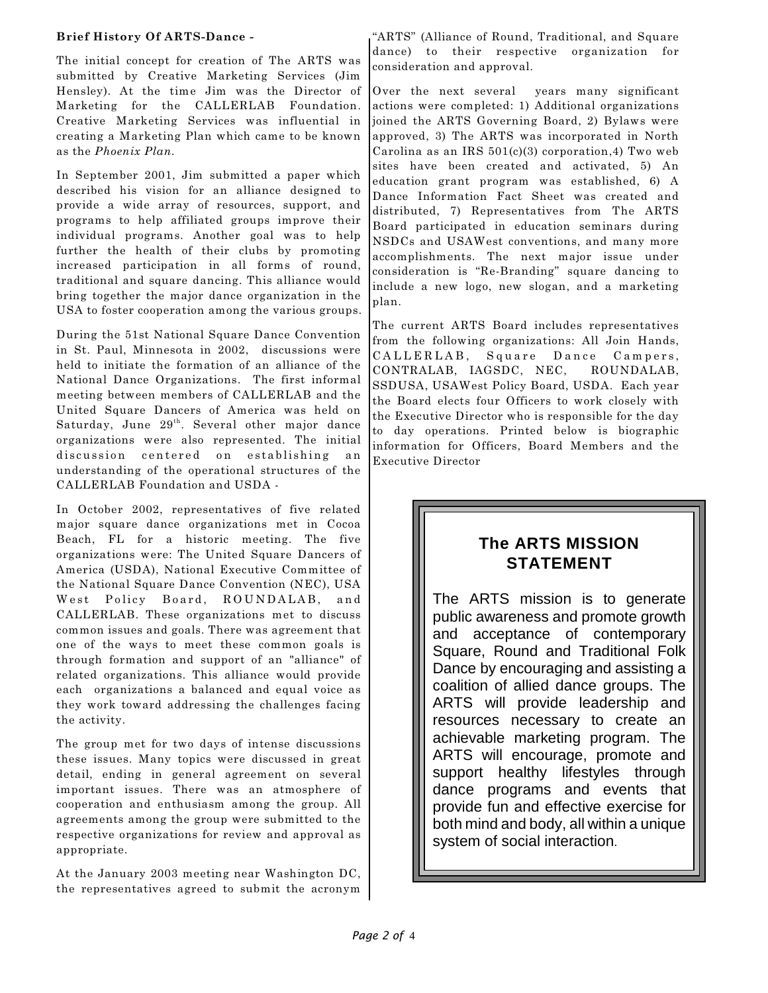#### **Brief History Of ARTS-Dance -**

The initial concept for creation of The ARTS was submitted by Creative Marketing Services (Jim Hensley). At the time Jim was the Director of Marketing for the CALLERLAB Foundation. Creative Marketing Services was influential in creating a Marketing Plan which came to be known as the *Phoenix Plan.*

In September 2001, Jim submitted a paper which described his vision for an alliance designed to provide a wide array of resources, support, and programs to help affiliated groups improve their individual programs. Another goal was to help further the health of their clubs by promoting increased participation in all forms of round, traditional and square dancing. This alliance would bring together the major dance organization in the USA to foster cooperation among the various groups.

During the 51st National Square Dance Convention in St. Paul, Minnesota in 2002, discussions were held to initiate the formation of an alliance of the National Dance Organizations. The first informal meeting between members of CALLERLAB and the United Square Dancers of America was held on Saturday, June  $29<sup>th</sup>$ . Several other major dance organizations were also represented. The initial discussion centered on establishing an understanding of the operational structures of the CALLERLAB Foundation and USDA -

In October 2002, representatives of five related major square dance organizations met in Cocoa Beach, FL for a historic meeting. The five organizations were: The United Square Dancers of America (USDA), National Executive Committee of the National Square Dance Convention (NEC), USA West Policy Board, ROUNDALAB, and CALLERLAB. These organizations met to discuss common issues and goals. There was agreement that one of the ways to meet these common goals is through formation and support of an "alliance" of related organizations. This alliance would provide each organizations a balanced and equal voice as they work toward addressing the challenges facing the activity.

The group met for two days of intense discussions these issues. Many topics were discussed in great detail, ending in general agreement on several important issues. There was an atmosphere of cooperation and enthusiasm among the group. All agreements among the group were submitted to the respective organizations for review and approval as appropriate.

At the January 2003 meeting near Washington DC, the representatives agreed to submit the acronym

"ARTS" (Alliance of Round, Traditional, and Square dance) to their respective organization for consideration and approval.

Over the next several years many significant actions were completed: 1) Additional organizations joined the ARTS Governing Board, 2) Bylaws were approved, 3) The ARTS was incorporated in North Carolina as an IRS  $501(c)(3)$  corporation, 4) Two web sites have been created and activated, 5) An education grant program was established, 6) A Dance Information Fact Sheet was created and distributed, 7) Representatives from The ARTS Board participated in education seminars during NSDCs and USAWest conventions, and many more accomplishments. The next major issue under consideration is "Re-Branding" square dancing to include a new logo, new slogan, and a marketing plan.

The current ARTS Board includes representatives from the following organizations: All Join Hands, CALLERLAB, Square Dance Campers, CONTRALAB, IAGSDC, NEC, ROUNDALAB, SSDUSA, USAWest Policy Board, USDA. Each year the Board elects four Officers to work closely with the Executive Director who is responsible for the day to day operations. Printed below is biographic information for Officers, Board Members and the Executive Director

## **The ARTS MISSION STATEMENT**

The ARTS mission is to generate public awareness and promote growth and acceptance of contemporary Square, Round and Traditional Folk Dance by encouraging and assisting a coalition of allied dance groups. The ARTS will provide leadership and resources necessary to create an achievable marketing program. The ARTS will encourage, promote and support healthy lifestyles through dance programs and events that provide fun and effective exercise for both mind and body, all within a unique system of social interaction.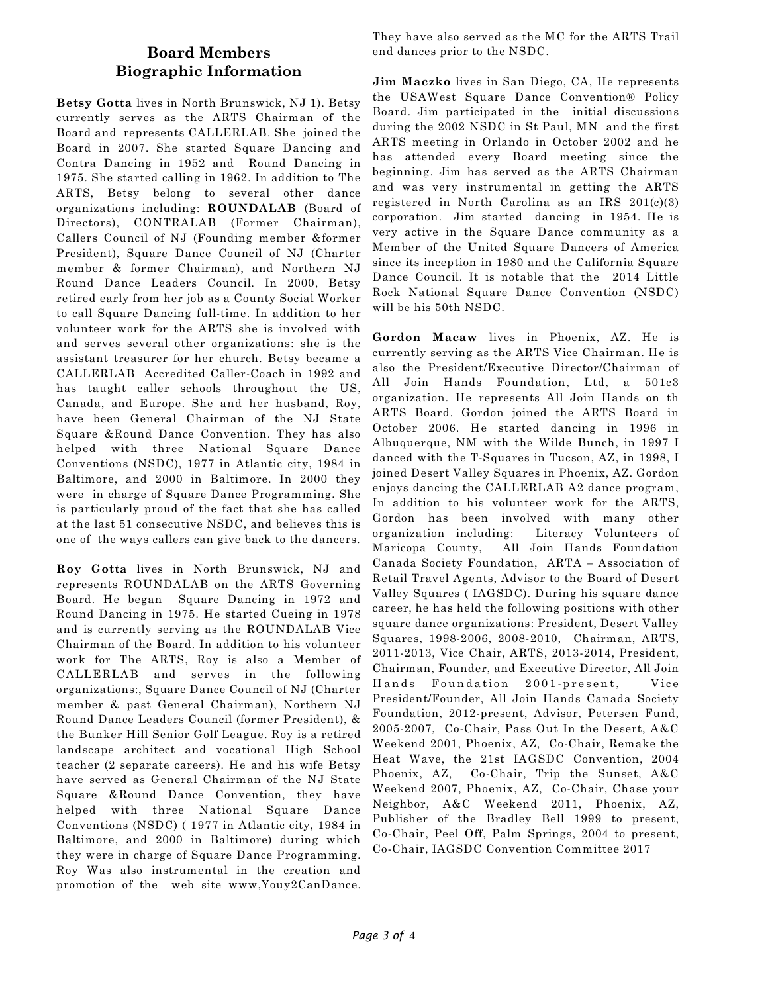### **Board Members Biographic Information**

**Betsy Gotta** lives in North Brunswick, NJ 1). Betsy currently serves as the ARTS Chairman of the Board and represents CALLERLAB. She joined the Board in 2007. She started Square Dancing and Contra Dancing in 1952 and Round Dancing in 1975. She started calling in 1962. In addition to The ARTS, Betsy belong to several other dance organizations including: **ROUNDALAB** (Board of Directors), CONTRALAB (Former Chairman), Callers Council of NJ (Founding member &former President), Square Dance Council of NJ (Charter member & former Chairman), and Northern NJ Round Dance Leaders Council. In 2000, Betsy retired early from her job as a County Social Worker to call Square Dancing full-time. In addition to her volunteer work for the ARTS she is involved with and serves several other organizations: she is the assistant treasurer for her church. Betsy became a CALLERLAB Accredited Caller-Coach in 1992 and has taught caller schools throughout the US, Canada, and Europe. She and her husband, Roy, have been General Chairman of the NJ State Square &Round Dance Convention. They has also helped with three National Square Dance Conventions (NSDC), 1977 in Atlantic city, 1984 in Baltimore, and 2000 in Baltimore. In 2000 they were in charge of Square Dance Programming. She is particularly proud of the fact that she has called at the last 51 consecutive NSDC, and believes this is one of the ways callers can give back to the dancers.

**Roy Gotta** lives in North Brunswick, NJ and represents ROUNDALAB on the ARTS Governing Board. He began Square Dancing in 1972 and Round Dancing in 1975. He started Cueing in 1978 and is currently serving as the ROUNDALAB Vice Chairman of the Board. In addition to his volunteer work for The ARTS, Roy is also a Member of CALLERLAB and serves in the following organizations:, Square Dance Council of NJ (Charter member & past General Chairman), Northern NJ Round Dance Leaders Council (former President), & the Bunker Hill Senior Golf League. Roy is a retired landscape architect and vocational High School teacher (2 separate careers). He and his wife Betsy have served as General Chairman of the NJ State Square &Round Dance Convention, they have helped with three National Square Dance Conventions (NSDC) ( 1977 in Atlantic city, 1984 in Baltimore, and 2000 in Baltimore) during which they were in charge of Square Dance Programming. Roy Was also instrumental in the creation and promotion of the web site www,Youy2CanDance.

They have also served as the MC for the ARTS Trail end dances prior to the NSDC.

**Jim Maczko** lives in San Diego, CA, He represents the USAWest Square Dance Convention® Policy Board. Jim participated in the initial discussions during the 2002 NSDC in St Paul, MN and the first ARTS meeting in Orlando in October 2002 and he has attended every Board meeting since the beginning. Jim has served as the ARTS Chairman and was very instrumental in getting the ARTS registered in North Carolina as an IRS 201(c)(3) corporation. Jim started dancing in 1954. He is very active in the Square Dance community as a Member of the United Square Dancers of America since its inception in 1980 and the California Square Dance Council. It is notable that the 2014 Little Rock National Square Dance Convention (NSDC) will be his 50th NSDC.

**Gordon Macaw** lives in Phoenix, AZ. He is currently serving as the ARTS Vice Chairman. He is also the President/Executive Director/Chairman of All Join Hands Foundation, Ltd, a 501c3 organization. He represents All Join Hands on th ARTS Board. Gordon joined the ARTS Board in October 2006. He started dancing in 1996 in Albuquerque, NM with the Wilde Bunch, in 1997 I danced with the T-Squares in Tucson, AZ, in 1998, I joined Desert Valley Squares in Phoenix, AZ. Gordon enjoys dancing the CALLERLAB A2 dance program, In addition to his volunteer work for the ARTS, Gordon has been involved with many other organization including: Literacy Volunteers of Maricopa County, All Join Hands Foundation Canada Society Foundation, ARTA – Association of Retail Travel Agents, Advisor to the Board of Desert Valley Squares ( IAGSDC). During his square dance career, he has held the following positions with other square dance organizations: President, Desert Valley Squares, 1998-2006, 2008-2010, Chairman, ARTS, 2011-2013, Vice Chair, ARTS, 2013-2014, President, Chairman, Founder, and Executive Director, All Join Hands Foundation 2001-present, Vice President/Founder, All Join Hands Canada Society Foundation, 2012-present, Advisor, Petersen Fund, 2005-2007, Co-Chair, Pass Out In the Desert, A&C Weekend 2001, Phoenix, AZ, Co-Chair, Remake the Heat Wave, the 21st IAGSDC Convention, 2004 Phoenix, AZ, Co-Chair, Trip the Sunset, A&C Weekend 2007, Phoenix, AZ, Co-Chair, Chase your Neighbor, A&C Weekend 2011, Phoenix, AZ, Publisher of the Bradley Bell 1999 to present, Co-Chair, Peel Off, Palm Springs, 2004 to present, Co-Chair, IAGSDC Convention Committee 2017